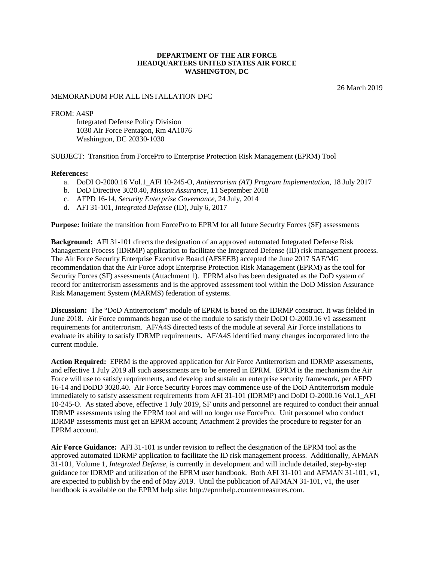## **DEPARTMENT OF THE AIR FORCE HEADQUARTERS UNITED STATES AIR FORCE WASHINGTON, DC**

26 March 2019

## MEMORANDUM FOR ALL INSTALLATION DFC

FROM: A4SP

Integrated Defense Policy Division 1030 Air Force Pentagon, Rm 4A1076 Washington, DC 20330-1030

SUBJECT: Transition from ForcePro to Enterprise Protection Risk Management (EPRM) Tool

## **References:**

- a. DoDI O-2000.16 Vol.1\_AFI 10-245-O, *Antiterrorism (AT) Program Implementation*, 18 July 2017
- b. DoD Directive 3020.40, *Mission Assurance*, 11 September 2018
- c. AFPD 16-14, *Security Enterprise Governance*, 24 July, 2014
- d. AFI 31-101, *Integrated Defense* (ID), July 6, 2017

**Purpose:** Initiate the transition from ForcePro to EPRM for all future Security Forces (SF) assessments

**Background:** AFI 31-101 directs the designation of an approved automated Integrated Defense Risk Management Process (IDRMP) application to facilitate the Integrated Defense (ID) risk management process. The Air Force Security Enterprise Executive Board (AFSEEB) accepted the June 2017 SAF/MG recommendation that the Air Force adopt Enterprise Protection Risk Management (EPRM) as the tool for Security Forces (SF) assessments (Attachment 1). EPRM also has been designated as the DoD system of record for antiterrorism assessments and is the approved assessment tool within the DoD Mission Assurance Risk Management System (MARMS) federation of systems.

**Discussion:** The "DoD Antiterrorism" module of EPRM is based on the IDRMP construct. It was fielded in June 2018. Air Force commands began use of the module to satisfy their DoDI O-2000.16 v1 assessment requirements for antiterrorism. AF/A4S directed tests of the module at several Air Force installations to evaluate its ability to satisfy IDRMP requirements. AF/A4S identified many changes incorporated into the current module.

**Action Required:** EPRM is the approved application for Air Force Antiterrorism and IDRMP assessments, and effective 1 July 2019 all such assessments are to be entered in EPRM. EPRM is the mechanism the Air Force will use to satisfy requirements, and develop and sustain an enterprise security framework, per AFPD 16-14 and DoDD 3020.40. Air Force Security Forces may commence use of the DoD Antiterrorism module immediately to satisfy assessment requirements from AFI 31-101 (IDRMP) and DoDI O-2000.16 Vol.1\_AFI 10-245-O. As stated above, effective 1 July 2019, SF units and personnel are required to conduct their annual IDRMP assessments using the EPRM tool and will no longer use ForcePro. Unit personnel who conduct IDRMP assessments must get an EPRM account; Attachment 2 provides the procedure to register for an EPRM account.

**Air Force Guidance:** AFI 31-101 is under revision to reflect the designation of the EPRM tool as the approved automated IDRMP application to facilitate the ID risk management process. Additionally, AFMAN 31-101, Volume 1, *Integrated Defense*, is currently in development and will include detailed, step-by-step guidance for IDRMP and utilization of the EPRM user handbook. Both AFI 31-101 and AFMAN 31-101, v1, are expected to publish by the end of May 2019. Until the publication of AFMAN 31-101, v1, the user handbook is available on the EPRM help site: http://eprmhelp.countermeasures.com.